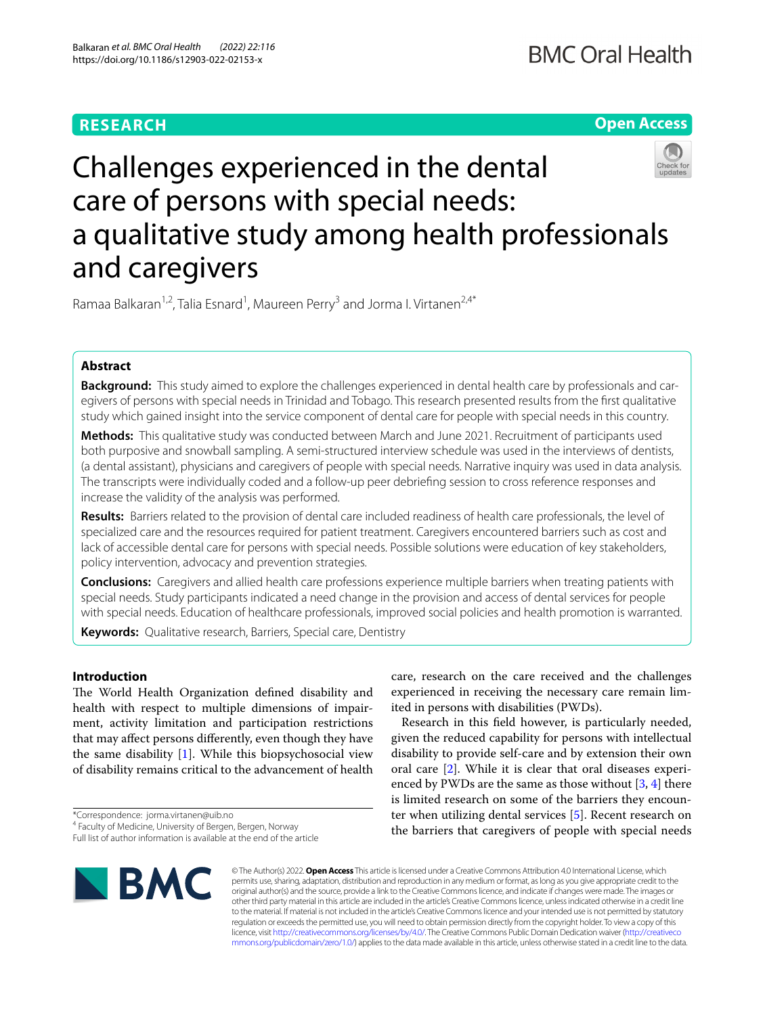# **RESEARCH**

# **Open Access**



# Challenges experienced in the dental care of persons with special needs: a qualitative study among health professionals and caregivers

Ramaa Balkaran<sup>1,2</sup>, Talia Esnard<sup>1</sup>, Maureen Perry<sup>3</sup> and Jorma I. Virtanen<sup>2,4\*</sup>

# **Abstract**

**Background:** This study aimed to explore the challenges experienced in dental health care by professionals and caregivers of persons with special needs in Trinidad and Tobago. This research presented results from the frst qualitative study which gained insight into the service component of dental care for people with special needs in this country.

**Methods:** This qualitative study was conducted between March and June 2021. Recruitment of participants used both purposive and snowball sampling. A semi-structured interview schedule was used in the interviews of dentists, (a dental assistant), physicians and caregivers of people with special needs. Narrative inquiry was used in data analysis. The transcripts were individually coded and a follow-up peer debriefng session to cross reference responses and increase the validity of the analysis was performed.

**Results:** Barriers related to the provision of dental care included readiness of health care professionals, the level of specialized care and the resources required for patient treatment. Caregivers encountered barriers such as cost and lack of accessible dental care for persons with special needs. Possible solutions were education of key stakeholders, policy intervention, advocacy and prevention strategies.

**Conclusions:** Caregivers and allied health care professions experience multiple barriers when treating patients with special needs. Study participants indicated a need change in the provision and access of dental services for people with special needs. Education of healthcare professionals, improved social policies and health promotion is warranted.

**Keywords:** Qualitative research, Barriers, Special care, Dentistry

# **Introduction**

The World Health Organization defined disability and health with respect to multiple dimensions of impairment, activity limitation and participation restrictions that may afect persons diferently, even though they have the same disability [[1\]](#page-7-0). While this biopsychosocial view of disability remains critical to the advancement of health

\*Correspondence: jorma.virtanen@uib.no

Full list of author information is available at the end of the article



ited in persons with disabilities (PWDs). Research in this feld however, is particularly needed, given the reduced capability for persons with intellectual

care, research on the care received and the challenges experienced in receiving the necessary care remain lim-

disability to provide self-care and by extension their own oral care [\[2](#page-7-1)]. While it is clear that oral diseases experienced by PWDs are the same as those without  $[3, 4]$  $[3, 4]$  $[3, 4]$  there is limited research on some of the barriers they encounter when utilizing dental services [[5\]](#page-7-4). Recent research on the barriers that caregivers of people with special needs

© The Author(s) 2022. **Open Access** This article is licensed under a Creative Commons Attribution 4.0 International License, which permits use, sharing, adaptation, distribution and reproduction in any medium or format, as long as you give appropriate credit to the original author(s) and the source, provide a link to the Creative Commons licence, and indicate if changes were made. The images or other third party material in this article are included in the article's Creative Commons licence, unless indicated otherwise in a credit line to the material. If material is not included in the article's Creative Commons licence and your intended use is not permitted by statutory regulation or exceeds the permitted use, you will need to obtain permission directly from the copyright holder. To view a copy of this licence, visit [http://creativecommons.org/licenses/by/4.0/.](http://creativecommons.org/licenses/by/4.0/) The Creative Commons Public Domain Dedication waiver ([http://creativeco](http://creativecommons.org/publicdomain/zero/1.0/) [mmons.org/publicdomain/zero/1.0/](http://creativecommons.org/publicdomain/zero/1.0/)) applies to the data made available in this article, unless otherwise stated in a credit line to the data.

<sup>&</sup>lt;sup>4</sup> Faculty of Medicine, University of Bergen, Bergen, Norway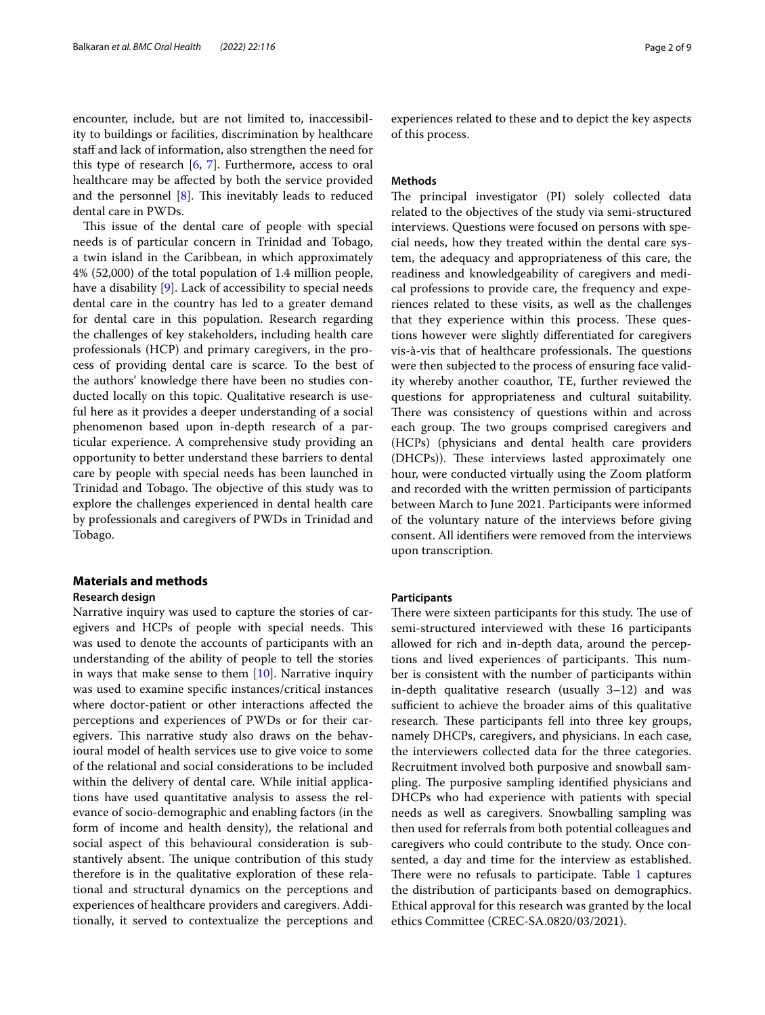encounter, include, but are not limited to, inaccessibility to buildings or facilities, discrimination by healthcare staff and lack of information, also strengthen the need for this type of research [\[6](#page-7-5), [7\]](#page-7-6). Furthermore, access to oral healthcare may be afected by both the service provided and the personnel  $[8]$  $[8]$ . This inevitably leads to reduced dental care in PWDs.

This issue of the dental care of people with special needs is of particular concern in Trinidad and Tobago, a twin island in the Caribbean, in which approximately 4% (52,000) of the total population of 1.4 million people, have a disability [[9\]](#page-7-8). Lack of accessibility to special needs dental care in the country has led to a greater demand for dental care in this population. Research regarding the challenges of key stakeholders, including health care professionals (HCP) and primary caregivers, in the process of providing dental care is scarce. To the best of the authors' knowledge there have been no studies conducted locally on this topic. Qualitative research is useful here as it provides a deeper understanding of a social phenomenon based upon in-depth research of a particular experience. A comprehensive study providing an opportunity to better understand these barriers to dental care by people with special needs has been launched in Trinidad and Tobago. The objective of this study was to explore the challenges experienced in dental health care by professionals and caregivers of PWDs in Trinidad and Tobago.

# **Materials and methods Research design**

Narrative inquiry was used to capture the stories of caregivers and HCPs of people with special needs. This was used to denote the accounts of participants with an understanding of the ability of people to tell the stories in ways that make sense to them  $[10]$  $[10]$ . Narrative inquiry was used to examine specifc instances/critical instances where doctor-patient or other interactions afected the perceptions and experiences of PWDs or for their caregivers. This narrative study also draws on the behavioural model of health services use to give voice to some of the relational and social considerations to be included within the delivery of dental care. While initial applications have used quantitative analysis to assess the relevance of socio-demographic and enabling factors (in the form of income and health density), the relational and social aspect of this behavioural consideration is substantively absent. The unique contribution of this study therefore is in the qualitative exploration of these relational and structural dynamics on the perceptions and experiences of healthcare providers and caregivers. Additionally, it served to contextualize the perceptions and experiences related to these and to depict the key aspects of this process.

# **Methods**

The principal investigator (PI) solely collected data related to the objectives of the study via semi-structured interviews. Questions were focused on persons with special needs, how they treated within the dental care system, the adequacy and appropriateness of this care, the readiness and knowledgeability of caregivers and medical professions to provide care, the frequency and experiences related to these visits, as well as the challenges that they experience within this process. These questions however were slightly diferentiated for caregivers vis-à-vis that of healthcare professionals. The questions were then subjected to the process of ensuring face validity whereby another coauthor, TE, further reviewed the questions for appropriateness and cultural suitability. There was consistency of questions within and across each group. The two groups comprised caregivers and (HCPs) (physicians and dental health care providers (DHCPs)). These interviews lasted approximately one hour, were conducted virtually using the Zoom platform and recorded with the written permission of participants between March to June 2021. Participants were informed of the voluntary nature of the interviews before giving consent. All identifers were removed from the interviews upon transcription.

#### **Participants**

There were sixteen participants for this study. The use of semi-structured interviewed with these 16 participants allowed for rich and in-depth data, around the perceptions and lived experiences of participants. This number is consistent with the number of participants within in-depth qualitative research (usually 3–12) and was sufficient to achieve the broader aims of this qualitative research. These participants fell into three key groups, namely DHCPs, caregivers, and physicians. In each case, the interviewers collected data for the three categories. Recruitment involved both purposive and snowball sampling. The purposive sampling identified physicians and DHCPs who had experience with patients with special needs as well as caregivers. Snowballing sampling was then used for referrals from both potential colleagues and caregivers who could contribute to the study. Once consented, a day and time for the interview as established. There were no refusals to participate. Table  $1$  captures the distribution of participants based on demographics. Ethical approval for this research was granted by the local ethics Committee (CREC-SA.0820/03/2021).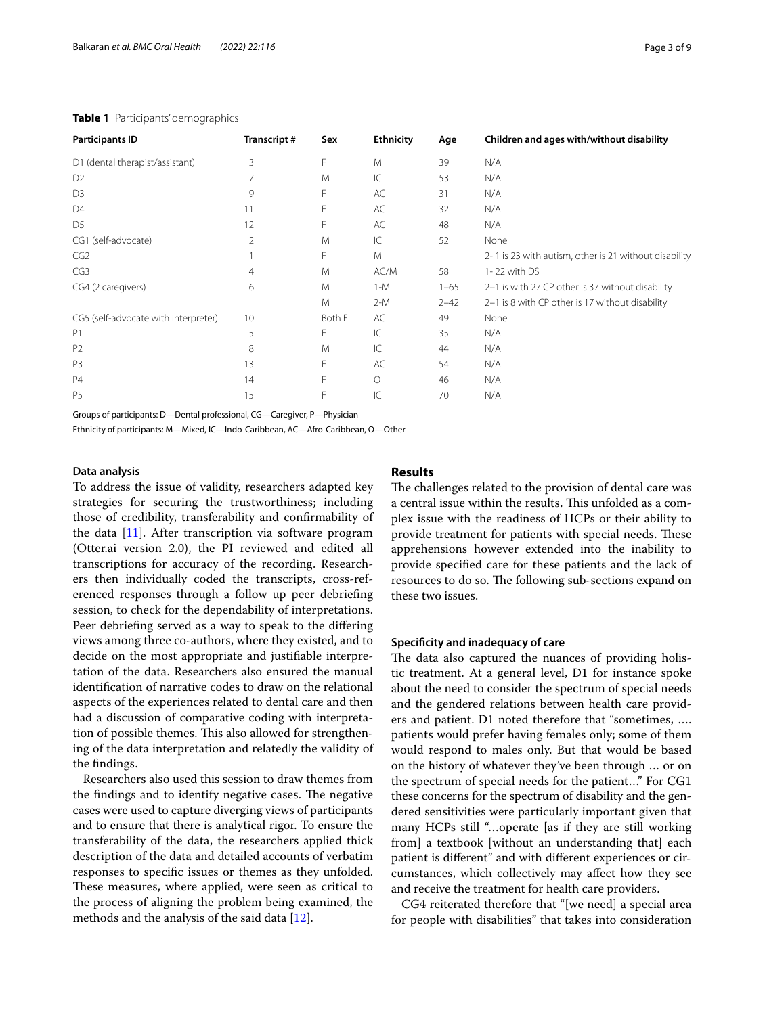<span id="page-2-0"></span>

| <b>Participants ID</b>               | Transcript# | Sex    | <b>Ethnicity</b> | Age      | Children and ages with/without disability             |
|--------------------------------------|-------------|--------|------------------|----------|-------------------------------------------------------|
| D1 (dental therapist/assistant)      | 3           | F      | M                | 39       | N/A                                                   |
| D <sub>2</sub>                       |             | M      | $\mathsf{IC}$    | 53       | N/A                                                   |
| D <sub>3</sub>                       | 9           | F      | AC               | 31       | N/A                                                   |
| D <sub>4</sub>                       | 11          | F      | AC               | 32       | N/A                                                   |
| D <sub>5</sub>                       | 12          | F      | AC               | 48       | N/A                                                   |
| CG1 (self-advocate)                  | 2           | M      | $\mathsf{IC}$    | 52       | None                                                  |
| CG2                                  |             | F      | M                |          | 2-1 is 23 with autism, other is 21 without disability |
| CG3                                  | 4           | M      | AC/M             | 58       | 1-22 with DS                                          |
| CG4 (2 caregivers)                   | 6           | M      | $1-M$            | $1 - 65$ | 2-1 is with 27 CP other is 37 without disability      |
|                                      |             | M      | $2-M$            | $2 - 42$ | 2-1 is 8 with CP other is 17 without disability       |
| CG5 (self-advocate with interpreter) | 10          | Both F | AC               | 49       | None                                                  |
| P <sub>1</sub>                       | 5           | F      | $\mathsf{IC}$    | 35       | N/A                                                   |
| P <sub>2</sub>                       | 8           | M      | $\mathsf{IC}$    | 44       | N/A                                                   |
| P <sub>3</sub>                       | 13          | F      | AC               | 54       | N/A                                                   |
| <b>P4</b>                            | 14          | F      | $\circ$          | 46       | N/A                                                   |
| P <sub>5</sub>                       | 15          | F      | IC               | 70       | N/A                                                   |

Groups of participants: D—Dental professional, CG—Caregiver, P—Physician

Ethnicity of participants: M—Mixed, IC—Indo-Caribbean, AC—Afro-Caribbean, O—Other

#### **Data analysis**

To address the issue of validity, researchers adapted key strategies for securing the trustworthiness; including those of credibility, transferability and confrmability of the data [\[11](#page-7-10)]. After transcription via software program (Otter.ai version 2.0), the PI reviewed and edited all transcriptions for accuracy of the recording. Researchers then individually coded the transcripts, cross-referenced responses through a follow up peer debriefng session, to check for the dependability of interpretations. Peer debriefng served as a way to speak to the difering views among three co-authors, where they existed, and to decide on the most appropriate and justifable interpretation of the data. Researchers also ensured the manual identifcation of narrative codes to draw on the relational aspects of the experiences related to dental care and then had a discussion of comparative coding with interpretation of possible themes. This also allowed for strengthening of the data interpretation and relatedly the validity of the fndings.

Researchers also used this session to draw themes from the findings and to identify negative cases. The negative cases were used to capture diverging views of participants and to ensure that there is analytical rigor. To ensure the transferability of the data, the researchers applied thick description of the data and detailed accounts of verbatim responses to specifc issues or themes as they unfolded. These measures, where applied, were seen as critical to the process of aligning the problem being examined, the methods and the analysis of the said data [[12\]](#page-7-11).

## **Results**

The challenges related to the provision of dental care was a central issue within the results. This unfolded as a complex issue with the readiness of HCPs or their ability to provide treatment for patients with special needs. These apprehensions however extended into the inability to provide specifed care for these patients and the lack of resources to do so. The following sub-sections expand on these two issues.

# **Specifcity and inadequacy of care**

The data also captured the nuances of providing holistic treatment. At a general level, D1 for instance spoke about the need to consider the spectrum of special needs and the gendered relations between health care providers and patient. D1 noted therefore that "sometimes, …. patients would prefer having females only; some of them would respond to males only. But that would be based on the history of whatever they've been through … or on the spectrum of special needs for the patient…" For CG1 these concerns for the spectrum of disability and the gendered sensitivities were particularly important given that many HCPs still "…operate [as if they are still working from] a textbook [without an understanding that] each patient is diferent" and with diferent experiences or circumstances, which collectively may afect how they see and receive the treatment for health care providers.

CG4 reiterated therefore that "[we need] a special area for people with disabilities" that takes into consideration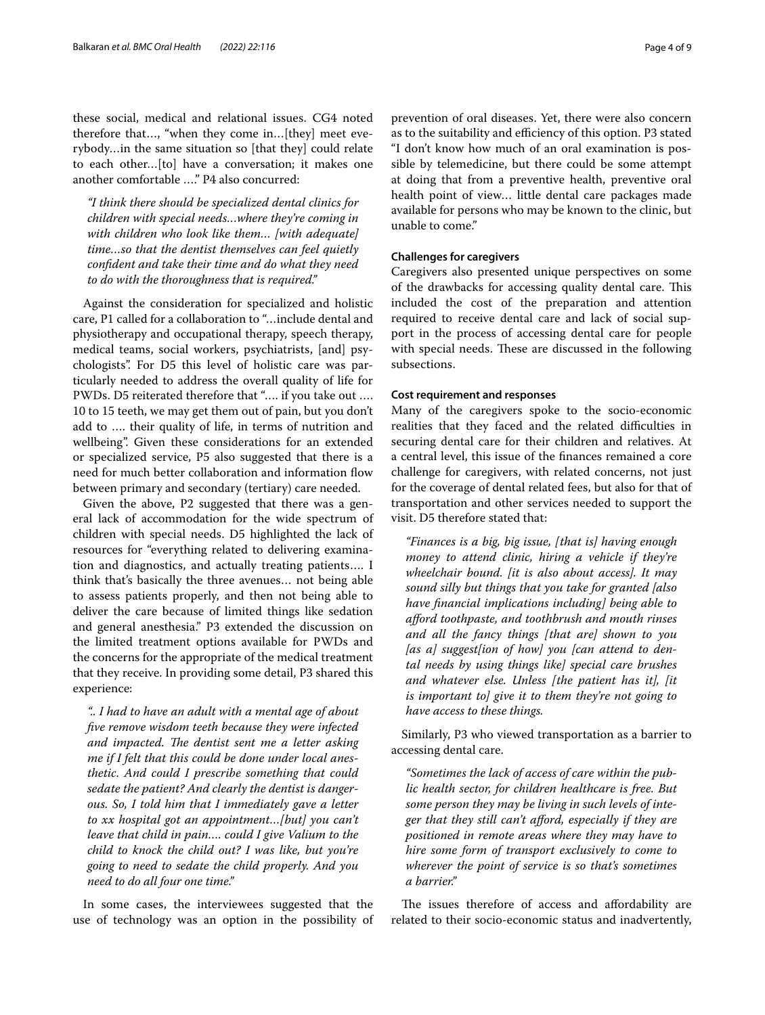these social, medical and relational issues. CG4 noted therefore that…, "when they come in…[they] meet everybody…in the same situation so [that they] could relate to each other…[to] have a conversation; it makes one another comfortable …." P4 also concurred:

*"I think there should be specialized dental clinics for children with special needs…where they're coming in with children who look like them… [with adequate] time…so that the dentist themselves can feel quietly confdent and take their time and do what they need to do with the thoroughness that is required."*

Against the consideration for specialized and holistic care, P1 called for a collaboration to "…include dental and physiotherapy and occupational therapy, speech therapy, medical teams, social workers, psychiatrists, [and] psychologists". For D5 this level of holistic care was particularly needed to address the overall quality of life for PWDs. D5 reiterated therefore that "…. if you take out …. 10 to 15 teeth, we may get them out of pain, but you don't add to …. their quality of life, in terms of nutrition and wellbeing". Given these considerations for an extended or specialized service, P5 also suggested that there is a need for much better collaboration and information fow between primary and secondary (tertiary) care needed.

Given the above, P2 suggested that there was a general lack of accommodation for the wide spectrum of children with special needs. D5 highlighted the lack of resources for "everything related to delivering examination and diagnostics, and actually treating patients…. I think that's basically the three avenues… not being able to assess patients properly, and then not being able to deliver the care because of limited things like sedation and general anesthesia." P3 extended the discussion on the limited treatment options available for PWDs and the concerns for the appropriate of the medical treatment that they receive. In providing some detail, P3 shared this experience:

*".. I had to have an adult with a mental age of about fve remove wisdom teeth because they were infected and impacted. The dentist sent me a letter asking me if I felt that this could be done under local anesthetic. And could I prescribe something that could sedate the patient? And clearly the dentist is dangerous. So, I told him that I immediately gave a letter to xx hospital got an appointment…[but] you can't leave that child in pain…. could I give Valium to the child to knock the child out? I was like, but you're going to need to sedate the child properly. And you need to do all four one time."*

In some cases, the interviewees suggested that the use of technology was an option in the possibility of prevention of oral diseases. Yet, there were also concern as to the suitability and efficiency of this option. P3 stated "I don't know how much of an oral examination is possible by telemedicine, but there could be some attempt at doing that from a preventive health, preventive oral health point of view… little dental care packages made available for persons who may be known to the clinic, but unable to come."

# **Challenges for caregivers**

Caregivers also presented unique perspectives on some of the drawbacks for accessing quality dental care. This included the cost of the preparation and attention required to receive dental care and lack of social support in the process of accessing dental care for people with special needs. These are discussed in the following subsections.

#### **Cost requirement and responses**

Many of the caregivers spoke to the socio-economic realities that they faced and the related difficulties in securing dental care for their children and relatives. At a central level, this issue of the fnances remained a core challenge for caregivers, with related concerns, not just for the coverage of dental related fees, but also for that of transportation and other services needed to support the visit. D5 therefore stated that:

*"Finances is a big, big issue, [that is] having enough money to attend clinic, hiring a vehicle if they're wheelchair bound. [it is also about access]. It may sound silly but things that you take for granted [also have fnancial implications including] being able to aford toothpaste, and toothbrush and mouth rinses and all the fancy things [that are] shown to you [as a] suggest[ion of how] you [can attend to dental needs by using things like] special care brushes and whatever else. Unless [the patient has it], [it is important to] give it to them they're not going to have access to these things.*

Similarly, P3 who viewed transportation as a barrier to accessing dental care.

*"Sometimes the lack of access of care within the public health sector, for children healthcare is free. But some person they may be living in such levels of integer that they still can't aford, especially if they are positioned in remote areas where they may have to hire some form of transport exclusively to come to wherever the point of service is so that's sometimes a barrier."*

The issues therefore of access and affordability are related to their socio-economic status and inadvertently,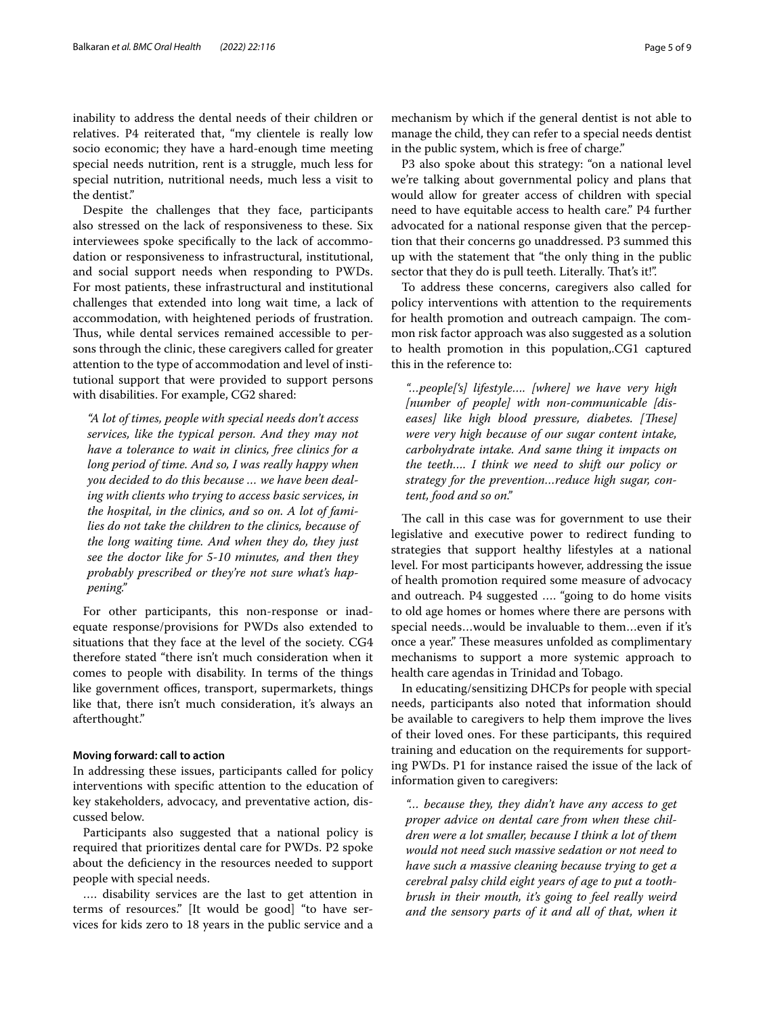inability to address the dental needs of their children or relatives. P4 reiterated that, "my clientele is really low socio economic; they have a hard-enough time meeting special needs nutrition, rent is a struggle, much less for special nutrition, nutritional needs, much less a visit to the dentist."

Despite the challenges that they face, participants also stressed on the lack of responsiveness to these. Six interviewees spoke specifcally to the lack of accommodation or responsiveness to infrastructural, institutional, and social support needs when responding to PWDs. For most patients, these infrastructural and institutional challenges that extended into long wait time, a lack of accommodation, with heightened periods of frustration. Thus, while dental services remained accessible to persons through the clinic, these caregivers called for greater attention to the type of accommodation and level of institutional support that were provided to support persons with disabilities. For example, CG2 shared:

*"A lot of times, people with special needs don't access services, like the typical person. And they may not have a tolerance to wait in clinics, free clinics for a long period of time. And so, I was really happy when you decided to do this because … we have been dealing with clients who trying to access basic services, in the hospital, in the clinics, and so on. A lot of families do not take the children to the clinics, because of the long waiting time. And when they do, they just see the doctor like for 5-10 minutes, and then they probably prescribed or they're not sure what's happening."*

For other participants, this non-response or inadequate response/provisions for PWDs also extended to situations that they face at the level of the society. CG4 therefore stated "there isn't much consideration when it comes to people with disability. In terms of the things like government offices, transport, supermarkets, things like that, there isn't much consideration, it's always an afterthought."

#### **Moving forward: call to action**

In addressing these issues, participants called for policy interventions with specifc attention to the education of key stakeholders, advocacy, and preventative action, discussed below.

Participants also suggested that a national policy is required that prioritizes dental care for PWDs. P2 spoke about the defciency in the resources needed to support people with special needs.

…. disability services are the last to get attention in terms of resources." [It would be good] "to have services for kids zero to 18 years in the public service and a mechanism by which if the general dentist is not able to manage the child, they can refer to a special needs dentist in the public system, which is free of charge."

P3 also spoke about this strategy: "on a national level we're talking about governmental policy and plans that would allow for greater access of children with special need to have equitable access to health care." P4 further advocated for a national response given that the perception that their concerns go unaddressed. P3 summed this up with the statement that "the only thing in the public sector that they do is pull teeth. Literally. That's it!".

To address these concerns, caregivers also called for policy interventions with attention to the requirements for health promotion and outreach campaign. The common risk factor approach was also suggested as a solution to health promotion in this population,.CG1 captured this in the reference to:

*"…people['s] lifestyle…. [where] we have very high [number of people] with non-communicable [diseases]* like high blood pressure, diabetes. [These] *were very high because of our sugar content intake, carbohydrate intake. And same thing it impacts on the teeth…. I think we need to shift our policy or strategy for the prevention…reduce high sugar, content, food and so on."*

The call in this case was for government to use their legislative and executive power to redirect funding to strategies that support healthy lifestyles at a national level. For most participants however, addressing the issue of health promotion required some measure of advocacy and outreach. P4 suggested …. "going to do home visits to old age homes or homes where there are persons with special needs…would be invaluable to them…even if it's once a year." These measures unfolded as complimentary mechanisms to support a more systemic approach to health care agendas in Trinidad and Tobago.

In educating/sensitizing DHCPs for people with special needs, participants also noted that information should be available to caregivers to help them improve the lives of their loved ones. For these participants, this required training and education on the requirements for supporting PWDs. P1 for instance raised the issue of the lack of information given to caregivers:

*"… because they, they didn't have any access to get proper advice on dental care from when these children were a lot smaller, because I think a lot of them would not need such massive sedation or not need to have such a massive cleaning because trying to get a cerebral palsy child eight years of age to put a toothbrush in their mouth, it's going to feel really weird and the sensory parts of it and all of that, when it*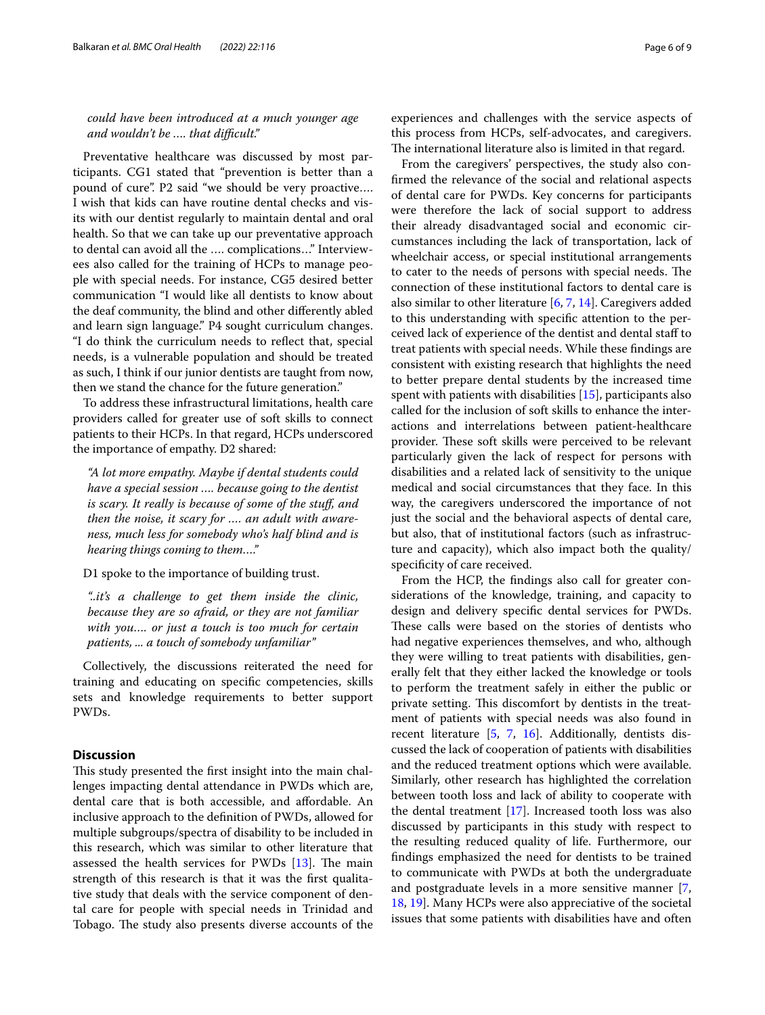*could have been introduced at a much younger age and wouldn't be …. that difcult."*

Preventative healthcare was discussed by most participants. CG1 stated that "prevention is better than a pound of cure". P2 said "we should be very proactive…. I wish that kids can have routine dental checks and visits with our dentist regularly to maintain dental and oral health. So that we can take up our preventative approach to dental can avoid all the …. complications…" Interviewees also called for the training of HCPs to manage people with special needs. For instance, CG5 desired better communication "I would like all dentists to know about the deaf community, the blind and other diferently abled and learn sign language." P4 sought curriculum changes. "I do think the curriculum needs to refect that, special needs, is a vulnerable population and should be treated as such, I think if our junior dentists are taught from now, then we stand the chance for the future generation."

To address these infrastructural limitations, health care providers called for greater use of soft skills to connect patients to their HCPs. In that regard, HCPs underscored the importance of empathy. D2 shared:

*"A lot more empathy. Maybe if dental students could have a special session …. because going to the dentist is scary. It really is because of some of the stuf, and then the noise, it scary for …. an adult with awareness, much less for somebody who's half blind and is hearing things coming to them…."*

D1 spoke to the importance of building trust.

*"..it's a challenge to get them inside the clinic, because they are so afraid, or they are not familiar with you…. or just a touch is too much for certain patients, ... a touch of somebody unfamiliar"*

Collectively, the discussions reiterated the need for training and educating on specifc competencies, skills sets and knowledge requirements to better support PWDs.

## **Discussion**

This study presented the first insight into the main challenges impacting dental attendance in PWDs which are, dental care that is both accessible, and afordable. An inclusive approach to the defnition of PWDs, allowed for multiple subgroups/spectra of disability to be included in this research, which was similar to other literature that assessed the health services for PWDs [\[13](#page-7-12)]. The main strength of this research is that it was the frst qualitative study that deals with the service component of dental care for people with special needs in Trinidad and Tobago. The study also presents diverse accounts of the experiences and challenges with the service aspects of this process from HCPs, self-advocates, and caregivers. The international literature also is limited in that regard.

From the caregivers' perspectives, the study also confrmed the relevance of the social and relational aspects of dental care for PWDs. Key concerns for participants were therefore the lack of social support to address their already disadvantaged social and economic circumstances including the lack of transportation, lack of wheelchair access, or special institutional arrangements to cater to the needs of persons with special needs. The connection of these institutional factors to dental care is also similar to other literature [\[6](#page-7-5), [7,](#page-7-6) [14](#page-7-13)]. Caregivers added to this understanding with specifc attention to the perceived lack of experience of the dentist and dental staf to treat patients with special needs. While these fndings are consistent with existing research that highlights the need to better prepare dental students by the increased time spent with patients with disabilities [[15\]](#page-7-14), participants also called for the inclusion of soft skills to enhance the interactions and interrelations between patient-healthcare provider. These soft skills were perceived to be relevant particularly given the lack of respect for persons with disabilities and a related lack of sensitivity to the unique medical and social circumstances that they face. In this way, the caregivers underscored the importance of not just the social and the behavioral aspects of dental care, but also, that of institutional factors (such as infrastructure and capacity), which also impact both the quality/ specificity of care received.

From the HCP, the fndings also call for greater considerations of the knowledge, training, and capacity to design and delivery specifc dental services for PWDs. These calls were based on the stories of dentists who had negative experiences themselves, and who, although they were willing to treat patients with disabilities, generally felt that they either lacked the knowledge or tools to perform the treatment safely in either the public or private setting. This discomfort by dentists in the treatment of patients with special needs was also found in recent literature [\[5,](#page-7-4) [7,](#page-7-6) [16](#page-7-15)]. Additionally, dentists discussed the lack of cooperation of patients with disabilities and the reduced treatment options which were available. Similarly, other research has highlighted the correlation between tooth loss and lack of ability to cooperate with the dental treatment [\[17](#page-7-16)]. Increased tooth loss was also discussed by participants in this study with respect to the resulting reduced quality of life. Furthermore, our fndings emphasized the need for dentists to be trained to communicate with PWDs at both the undergraduate and postgraduate levels in a more sensitive manner [\[7](#page-7-6), [18,](#page-7-17) [19](#page-7-18)]. Many HCPs were also appreciative of the societal issues that some patients with disabilities have and often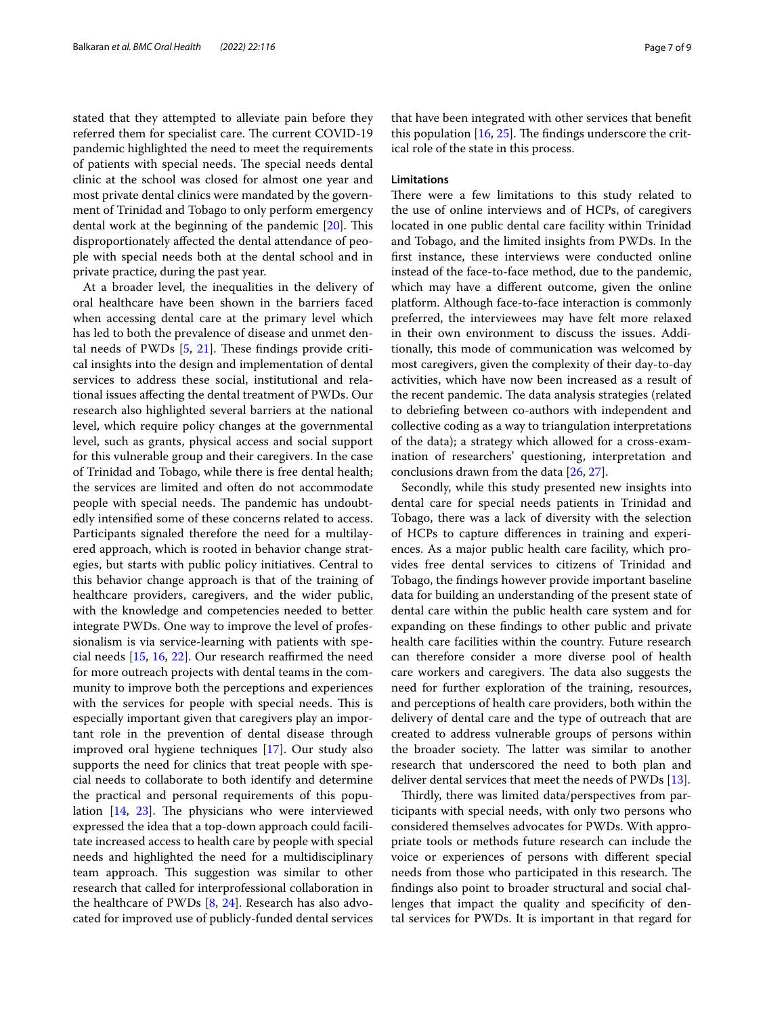stated that they attempted to alleviate pain before they referred them for specialist care. The current COVID-19 pandemic highlighted the need to meet the requirements of patients with special needs. The special needs dental clinic at the school was closed for almost one year and most private dental clinics were mandated by the government of Trinidad and Tobago to only perform emergency dental work at the beginning of the pandemic  $[20]$  $[20]$  $[20]$ . This disproportionately afected the dental attendance of people with special needs both at the dental school and in private practice, during the past year.

At a broader level, the inequalities in the delivery of oral healthcare have been shown in the barriers faced when accessing dental care at the primary level which has led to both the prevalence of disease and unmet dental needs of PWDs  $[5, 21]$  $[5, 21]$  $[5, 21]$  $[5, 21]$  $[5, 21]$ . These findings provide critical insights into the design and implementation of dental services to address these social, institutional and relational issues afecting the dental treatment of PWDs. Our research also highlighted several barriers at the national level, which require policy changes at the governmental level, such as grants, physical access and social support for this vulnerable group and their caregivers. In the case of Trinidad and Tobago, while there is free dental health; the services are limited and often do not accommodate people with special needs. The pandemic has undoubtedly intensifed some of these concerns related to access. Participants signaled therefore the need for a multilayered approach, which is rooted in behavior change strategies, but starts with public policy initiatives. Central to this behavior change approach is that of the training of healthcare providers, caregivers, and the wider public, with the knowledge and competencies needed to better integrate PWDs. One way to improve the level of professionalism is via service-learning with patients with spe-cial needs [[15](#page-7-14), [16](#page-7-15), [22](#page-8-0)]. Our research reaffirmed the need for more outreach projects with dental teams in the community to improve both the perceptions and experiences with the services for people with special needs. This is especially important given that caregivers play an important role in the prevention of dental disease through improved oral hygiene techniques [[17\]](#page-7-16). Our study also supports the need for clinics that treat people with special needs to collaborate to both identify and determine the practical and personal requirements of this population  $[14, 23]$  $[14, 23]$  $[14, 23]$  $[14, 23]$ . The physicians who were interviewed expressed the idea that a top-down approach could facilitate increased access to health care by people with special needs and highlighted the need for a multidisciplinary team approach. This suggestion was similar to other research that called for interprofessional collaboration in the healthcare of PWDs [[8,](#page-7-7) [24\]](#page-8-2). Research has also advocated for improved use of publicly-funded dental services

that have been integrated with other services that beneft this population  $[16, 25]$  $[16, 25]$  $[16, 25]$ . The findings underscore the critical role of the state in this process.

# **Limitations**

There were a few limitations to this study related to the use of online interviews and of HCPs, of caregivers located in one public dental care facility within Trinidad and Tobago, and the limited insights from PWDs. In the frst instance, these interviews were conducted online instead of the face-to-face method, due to the pandemic, which may have a diferent outcome, given the online platform. Although face-to-face interaction is commonly preferred, the interviewees may have felt more relaxed in their own environment to discuss the issues. Additionally, this mode of communication was welcomed by most caregivers, given the complexity of their day-to-day activities, which have now been increased as a result of the recent pandemic. The data analysis strategies (related to debriefng between co-authors with independent and collective coding as a way to triangulation interpretations of the data); a strategy which allowed for a cross-examination of researchers' questioning, interpretation and conclusions drawn from the data [\[26,](#page-8-4) [27](#page-8-5)].

Secondly, while this study presented new insights into dental care for special needs patients in Trinidad and Tobago, there was a lack of diversity with the selection of HCPs to capture diferences in training and experiences. As a major public health care facility, which provides free dental services to citizens of Trinidad and Tobago, the fndings however provide important baseline data for building an understanding of the present state of dental care within the public health care system and for expanding on these fndings to other public and private health care facilities within the country. Future research can therefore consider a more diverse pool of health care workers and caregivers. The data also suggests the need for further exploration of the training, resources, and perceptions of health care providers, both within the delivery of dental care and the type of outreach that are created to address vulnerable groups of persons within the broader society. The latter was similar to another research that underscored the need to both plan and deliver dental services that meet the needs of PWDs [[13](#page-7-12)].

Thirdly, there was limited data/perspectives from participants with special needs, with only two persons who considered themselves advocates for PWDs. With appropriate tools or methods future research can include the voice or experiences of persons with diferent special needs from those who participated in this research. The fndings also point to broader structural and social challenges that impact the quality and specifcity of dental services for PWDs. It is important in that regard for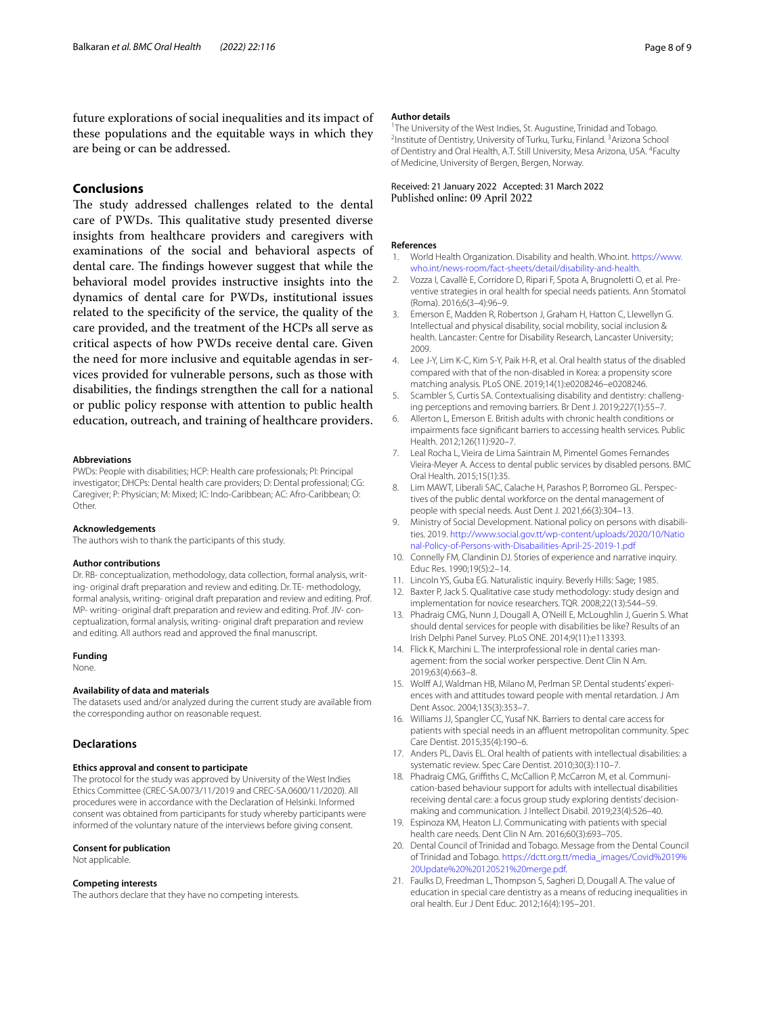future explorations of social inequalities and its impact of these populations and the equitable ways in which they are being or can be addressed.

# **Conclusions**

The study addressed challenges related to the dental care of PWDs. This qualitative study presented diverse insights from healthcare providers and caregivers with examinations of the social and behavioral aspects of dental care. The findings however suggest that while the behavioral model provides instructive insights into the dynamics of dental care for PWDs, institutional issues related to the specifcity of the service, the quality of the care provided, and the treatment of the HCPs all serve as critical aspects of how PWDs receive dental care. Given the need for more inclusive and equitable agendas in services provided for vulnerable persons, such as those with disabilities, the fndings strengthen the call for a national or public policy response with attention to public health education, outreach, and training of healthcare providers.

#### **Abbreviations**

PWDs: People with disabilities; HCP: Health care professionals; PI: Principal investigator; DHCPs: Dental health care providers; D: Dental professional; CG: Caregiver; P: Physician; M: Mixed; IC: Indo-Caribbean; AC: Afro-Caribbean; O: Other.

#### **Acknowledgements**

The authors wish to thank the participants of this study.

#### **Author contributions**

Dr. RB- conceptualization, methodology, data collection, formal analysis, writing- original draft preparation and review and editing. Dr. TE- methodology, formal analysis, writing- original draft preparation and review and editing. Prof. MP- writing- original draft preparation and review and editing. Prof. JIV- conceptualization, formal analysis, writing- original draft preparation and review and editing. All authors read and approved the fnal manuscript.

#### **Funding**

None.

#### **Availability of data and materials**

The datasets used and/or analyzed during the current study are available from the corresponding author on reasonable request.

#### **Declarations**

#### **Ethics approval and consent to participate**

The protocol for the study was approved by University of the West Indies Ethics Committee (CREC-SA.0073/11/2019 and CREC-SA.0600/11/2020). All procedures were in accordance with the Declaration of Helsinki. Informed consent was obtained from participants for study whereby participants were informed of the voluntary nature of the interviews before giving consent.

#### **Consent for publication**

Not applicable.

#### **Competing interests**

The authors declare that they have no competing interests.

#### **Author details**

<sup>1</sup>The University of the West Indies, St. Augustine, Trinidad and Tobago.<br><sup>2</sup>Institute of Dentistry University of Turku Turku, Finland <sup>3</sup>Arizona Scho Institute of Dentistry, University of Turku, Turku, Finland. <sup>3</sup> Arizona School of Dentistry and Oral Health, A.T. Still University, Mesa Arizona, USA. <sup>4</sup> Faculty of Medicine, University of Bergen, Bergen, Norway.

#### Received: 21 January 2022 Accepted: 31 March 2022 Published online: 09 April 2022

#### **References**

- <span id="page-7-0"></span>1. World Health Organization. Disability and health. Who.int. [https://www.](https://www.who.int/news-room/fact-sheets/detail/disability-and-health) [who.int/news-room/fact-sheets/detail/disability-and-health.](https://www.who.int/news-room/fact-sheets/detail/disability-and-health)
- <span id="page-7-1"></span>2. Vozza I, Cavallè E, Corridore D, Ripari F, Spota A, Brugnoletti O, et al. Preventive strategies in oral health for special needs patients. Ann Stomatol (Roma). 2016;6(3–4):96–9.
- <span id="page-7-2"></span>3. Emerson E, Madden R, Robertson J, Graham H, Hatton C, Llewellyn G. Intellectual and physical disability, social mobility, social inclusion & health. Lancaster: Centre for Disability Research, Lancaster University; 2009.
- <span id="page-7-3"></span>4. Lee J-Y, Lim K-C, Kim S-Y, Paik H-R, et al. Oral health status of the disabled compared with that of the non-disabled in Korea: a propensity score matching analysis. PLoS ONE. 2019;14(1):e0208246–e0208246.
- <span id="page-7-4"></span>5. Scambler S, Curtis SA. Contextualising disability and dentistry: challenging perceptions and removing barriers. Br Dent J. 2019;227(1):55–7.
- <span id="page-7-5"></span>6. Allerton L, Emerson E. British adults with chronic health conditions or impairments face signifcant barriers to accessing health services. Public Health. 2012;126(11):920–7.
- <span id="page-7-6"></span>7. Leal Rocha L, Vieira de Lima Saintrain M, Pimentel Gomes Fernandes Vieira-Meyer A. Access to dental public services by disabled persons. BMC Oral Health. 2015;15(1):35.
- <span id="page-7-7"></span>8. Lim MAWT, Liberali SAC, Calache H, Parashos P, Borromeo GL. Perspectives of the public dental workforce on the dental management of people with special needs. Aust Dent J. 2021;66(3):304–13.
- <span id="page-7-8"></span>9. Ministry of Social Development. National policy on persons with disabilities. 2019. [http://www.social.gov.tt/wp-content/uploads/2020/10/Natio](http://www.social.gov.tt/wp-content/uploads/2020/10/National-Policy-of-Persons-with-Disabailities-April-25-2019-1.pdf) [nal-Policy-of-Persons-with-Disabailities-April-25-2019-1.pdf](http://www.social.gov.tt/wp-content/uploads/2020/10/National-Policy-of-Persons-with-Disabailities-April-25-2019-1.pdf)
- <span id="page-7-9"></span>10. Connelly FM, Clandinin DJ. Stories of experience and narrative inquiry. Educ Res. 1990;19(5):2–14.
- <span id="page-7-10"></span>11. Lincoln YS, Guba EG. Naturalistic inquiry. Beverly Hills: Sage; 1985.
- <span id="page-7-11"></span>12. Baxter P, Jack S. Qualitative case study methodology: study design and implementation for novice researchers. TQR. 2008;22(13):544–59.
- <span id="page-7-12"></span>13. Phadraig CMG, Nunn J, Dougall A, O'Neill E, McLoughlin J, Guerin S. What should dental services for people with disabilities be like? Results of an Irish Delphi Panel Survey. PLoS ONE. 2014;9(11):e113393.
- <span id="page-7-13"></span>14. Flick K, Marchini L. The interprofessional role in dental caries management: from the social worker perspective. Dent Clin N Am. 2019;63(4):663–8.
- <span id="page-7-14"></span>15. Wolf AJ, Waldman HB, Milano M, Perlman SP. Dental students' experiences with and attitudes toward people with mental retardation. J Am Dent Assoc. 2004;135(3):353–7.
- <span id="page-7-15"></span>16. Williams JJ, Spangler CC, Yusaf NK. Barriers to dental care access for patients with special needs in an affluent metropolitan community. Spec Care Dentist. 2015;35(4):190–6.
- <span id="page-7-16"></span>17. Anders PL, Davis EL. Oral health of patients with intellectual disabilities: a systematic review. Spec Care Dentist. 2010;30(3):110–7.
- <span id="page-7-17"></span>18. Phadraig CMG, Grifths C, McCallion P, McCarron M, et al. Communication-based behaviour support for adults with intellectual disabilities receiving dental care: a focus group study exploring dentists' decisionmaking and communication. J Intellect Disabil. 2019;23(4):526–40.
- <span id="page-7-18"></span>19. Espinoza KM, Heaton LJ. Communicating with patients with special health care needs. Dent Clin N Am. 2016;60(3):693–705.
- <span id="page-7-19"></span>20. Dental Council of Trinidad and Tobago. Message from the Dental Council of Trinidad and Tobago. [https://dctt.org.tt/media\\_images/Covid%2019%](https://dctt.org.tt/media_images/Covid%2019%20Update%20%20120521%20merge.pdf) [20Update%20%20120521%20merge.pdf.](https://dctt.org.tt/media_images/Covid%2019%20Update%20%20120521%20merge.pdf)
- <span id="page-7-20"></span>21. Faulks D, Freedman L, Thompson S, Sagheri D, Dougall A. The value of education in special care dentistry as a means of reducing inequalities in oral health. Eur J Dent Educ. 2012;16(4):195–201.